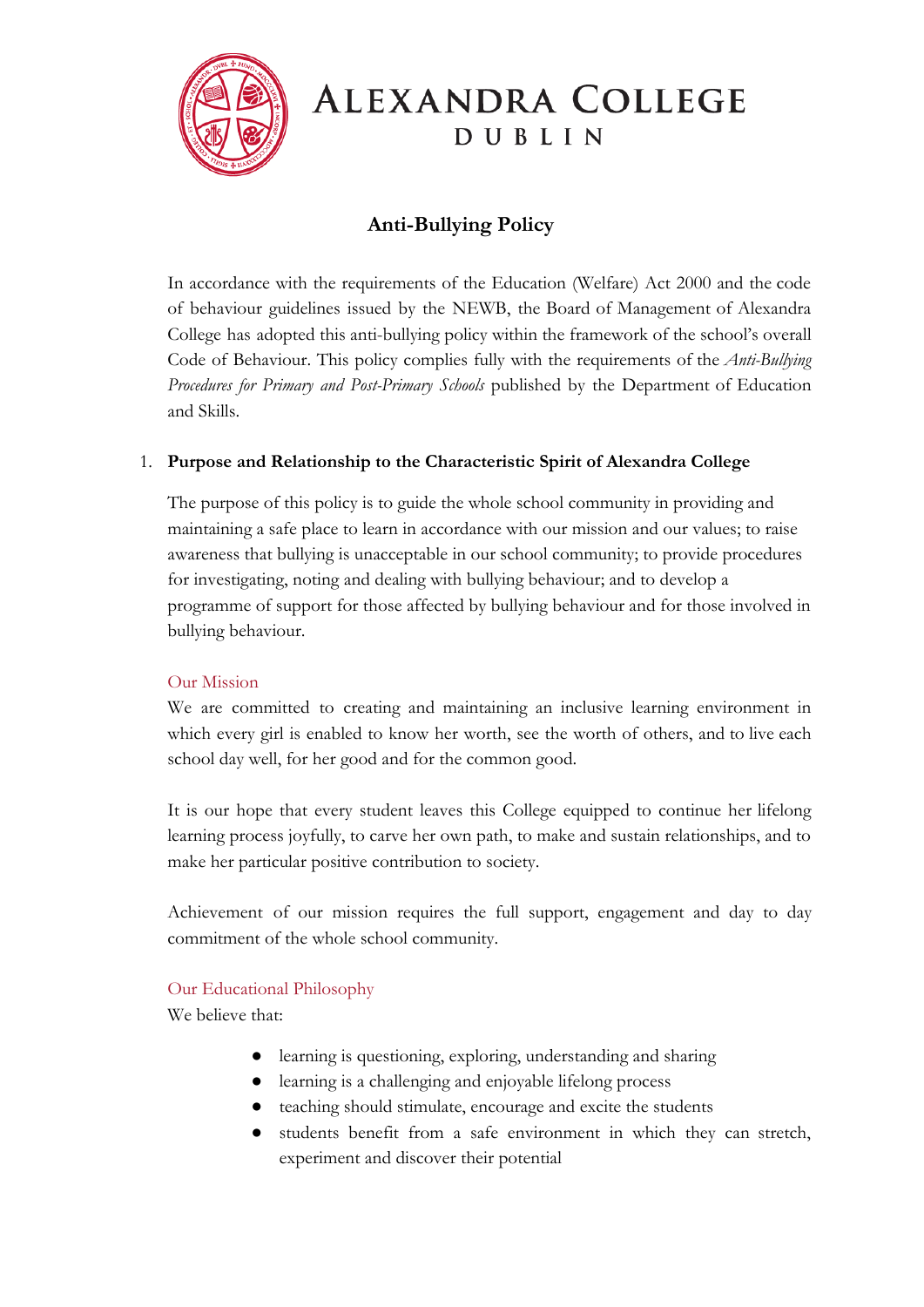

# ALEXANDRA COLLEGE DUBLIN

# **Anti-Bullying Policy**

In accordance with the requirements of the Education (Welfare) Act 2000 and the code of behaviour guidelines issued by the NEWB, the Board of Management of Alexandra College has adopted this anti-bullying policy within the framework of the school's overall Code of Behaviour. This policy complies fully with the requirements of the *Anti-Bullying Procedures for Primary and Post-Primary Schools* published by the Department of Education and Skills.

## 1. **Purpose and Relationship to the Characteristic Spirit of Alexandra College**

The purpose of this policy is to guide the whole school community in providing and maintaining a safe place to learn in accordance with our mission and our values; to raise awareness that bullying is unacceptable in our school community; to provide procedures for investigating, noting and dealing with bullying behaviour; and to develop a programme of support for those affected by bullying behaviour and for those involved in bullying behaviour.

#### Our Mission

We are committed to creating and maintaining an inclusive learning environment in which every girl is enabled to know her worth, see the worth of others, and to live each school day well, for her good and for the common good.

It is our hope that every student leaves this College equipped to continue her lifelong learning process joyfully, to carve her own path, to make and sustain relationships, and to make her particular positive contribution to society.

Achievement of our mission requires the full support, engagement and day to day commitment of the whole school community.

#### Our Educational Philosophy

We believe that:

- learning is questioning, exploring, understanding and sharing
- learning is a challenging and enjoyable lifelong process
- teaching should stimulate, encourage and excite the students
- students benefit from a safe environment in which they can stretch, experiment and discover their potential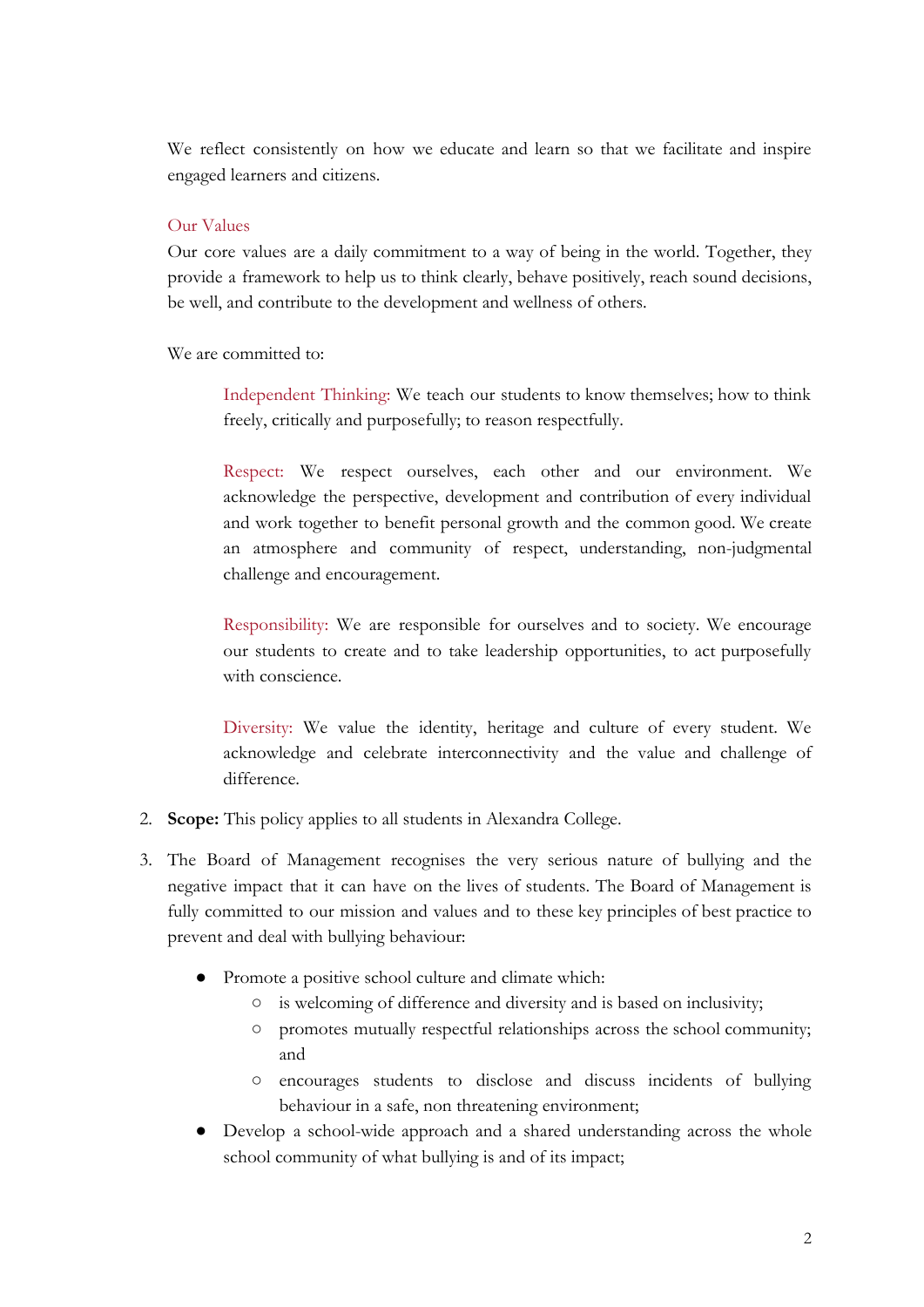We reflect consistently on how we educate and learn so that we facilitate and inspire engaged learners and citizens.

#### Our Values

Our core values are a daily commitment to a way of being in the world. Together, they provide a framework to help us to think clearly, behave positively, reach sound decisions, be well, and contribute to the development and wellness of others.

We are committed to:

Independent Thinking: We teach our students to know themselves; how to think freely, critically and purposefully; to reason respectfully.

Respect: We respect ourselves, each other and our environment. We acknowledge the perspective, development and contribution of every individual and work together to benefit personal growth and the common good. We create an atmosphere and community of respect, understanding, non-judgmental challenge and encouragement.

Responsibility: We are responsible for ourselves and to society. We encourage our students to create and to take leadership opportunities, to act purposefully with conscience.

Diversity: We value the identity, heritage and culture of every student. We acknowledge and celebrate interconnectivity and the value and challenge of difference.

- 2. **Scope:** This policy applies to all students in Alexandra College.
- 3. The Board of Management recognises the very serious nature of bullying and the negative impact that it can have on the lives of students. The Board of Management is fully committed to our mission and values and to these key principles of best practice to prevent and deal with bullying behaviour:
	- Promote a positive school culture and climate which:
		- is welcoming of difference and diversity and is based on inclusivity;
		- promotes mutually respectful relationships across the school community; and
		- encourages students to disclose and discuss incidents of bullying behaviour in a safe, non threatening environment;
	- Develop a school-wide approach and a shared understanding across the whole school community of what bullying is and of its impact;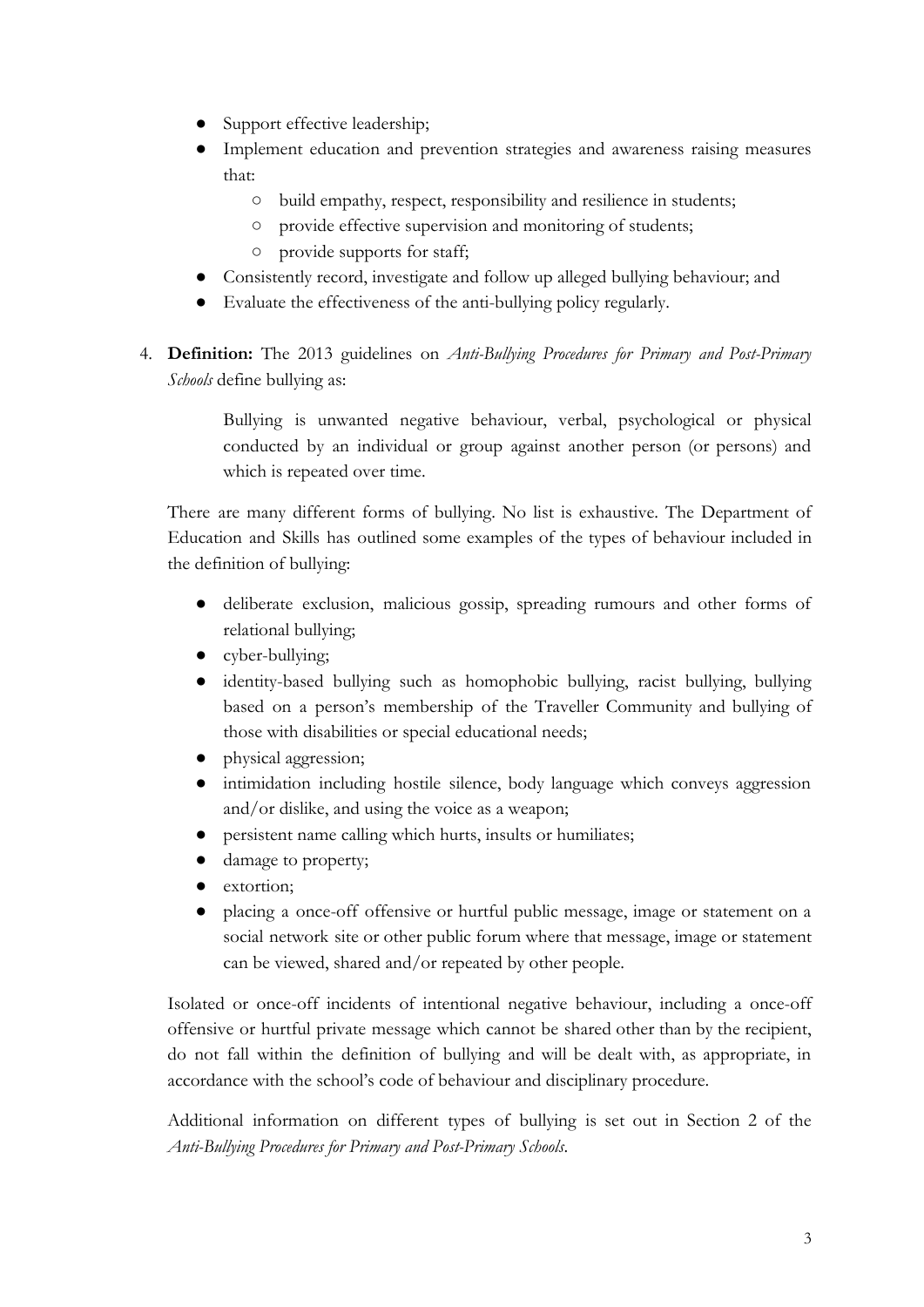- Support effective leadership;
- Implement education and prevention strategies and awareness raising measures that:
	- build empathy, respect, responsibility and resilience in students;
	- provide effective supervision and monitoring of students;
	- provide supports for staff;
- Consistently record, investigate and follow up alleged bullying behaviour; and
- Evaluate the effectiveness of the anti-bullying policy regularly.
- 4. **Definition:** The 2013 guidelines on *Anti-Bullying Procedures for Primary and Post-Primary Schools* define bullying as:

Bullying is unwanted negative behaviour, verbal, psychological or physical conducted by an individual or group against another person (or persons) and which is repeated over time.

There are many different forms of bullying. No list is exhaustive. The Department of Education and Skills has outlined some examples of the types of behaviour included in the definition of bullying:

- deliberate exclusion, malicious gossip, spreading rumours and other forms of relational bullying;
- cyber-bullying;
- identity-based bullying such as homophobic bullying, racist bullying, bullying based on a person's membership of the Traveller Community and bullying of those with disabilities or special educational needs;
- physical aggression;
- intimidation including hostile silence, body language which conveys aggression and/or dislike, and using the voice as a weapon;
- persistent name calling which hurts, insults or humiliates;
- damage to property;
- extortion;
- placing a once-off offensive or hurtful public message, image or statement on a social network site or other public forum where that message, image or statement can be viewed, shared and/or repeated by other people.

Isolated or once-off incidents of intentional negative behaviour, including a once-off offensive or hurtful private message which cannot be shared other than by the recipient, do not fall within the definition of bullying and will be dealt with, as appropriate, in accordance with the school's code of behaviour and disciplinary procedure.

Additional information on different types of bullying is set out in Section 2 of the *Anti-Bullying Procedures for Primary and Post-Primary Schools*.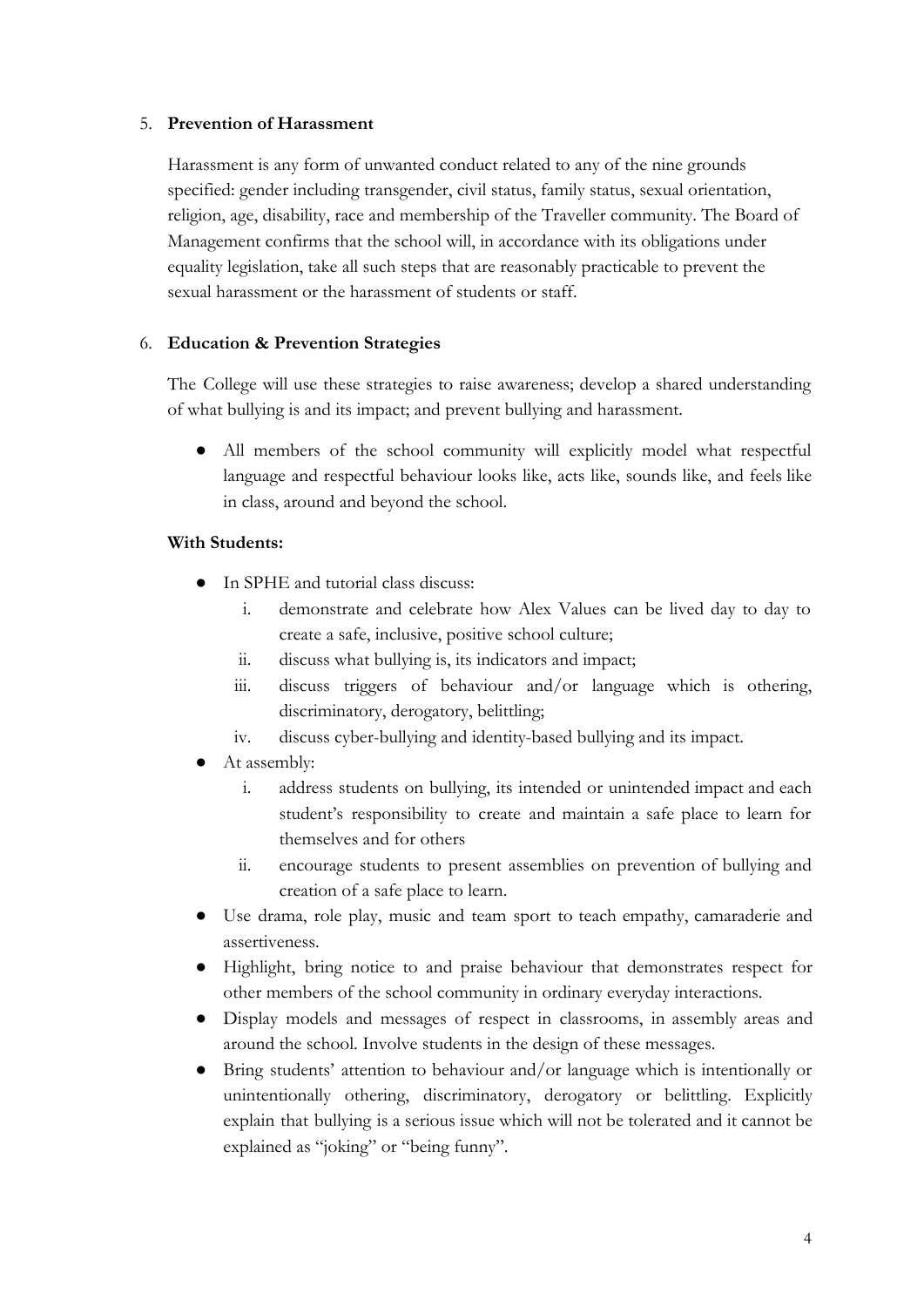#### 5. **Prevention of Harassment**

Harassment is any form of unwanted conduct related to any of the nine grounds specified: gender including transgender, civil status, family status, sexual orientation, religion, age, disability, race and membership of the Traveller community. The Board of Management confirms that the school will, in accordance with its obligations under equality legislation, take all such steps that are reasonably practicable to prevent the sexual harassment or the harassment of students or staff.

#### 6. **Education & Prevention Strategies**

The College will use these strategies to raise awareness; develop a shared understanding of what bullying is and its impact; and prevent bullying and harassment.

● All members of the school community will explicitly model what respectful language and respectful behaviour looks like, acts like, sounds like, and feels like in class, around and beyond the school.

#### **With Students:**

- In SPHE and tutorial class discuss:
	- i. demonstrate and celebrate how Alex Values can be lived day to day to create a safe, inclusive, positive school culture;
	- ii. discuss what bullying is, its indicators and impact;
	- iii. discuss triggers of behaviour and/or language which is othering, discriminatory, derogatory, belittling;
	- iv. discuss cyber-bullying and identity-based bullying and its impact.
- At assembly:
	- i. address students on bullying, its intended or unintended impact and each student's responsibility to create and maintain a safe place to learn for themselves and for others
	- ii. encourage students to present assemblies on prevention of bullying and creation of a safe place to learn.
- Use drama, role play, music and team sport to teach empathy, camaraderie and assertiveness.
- Highlight, bring notice to and praise behaviour that demonstrates respect for other members of the school community in ordinary everyday interactions.
- Display models and messages of respect in classrooms, in assembly areas and around the school. Involve students in the design of these messages.
- Bring students' attention to behaviour and/or language which is intentionally or unintentionally othering, discriminatory, derogatory or belittling. Explicitly explain that bullying is a serious issue which will not be tolerated and it cannot be explained as "joking" or "being funny".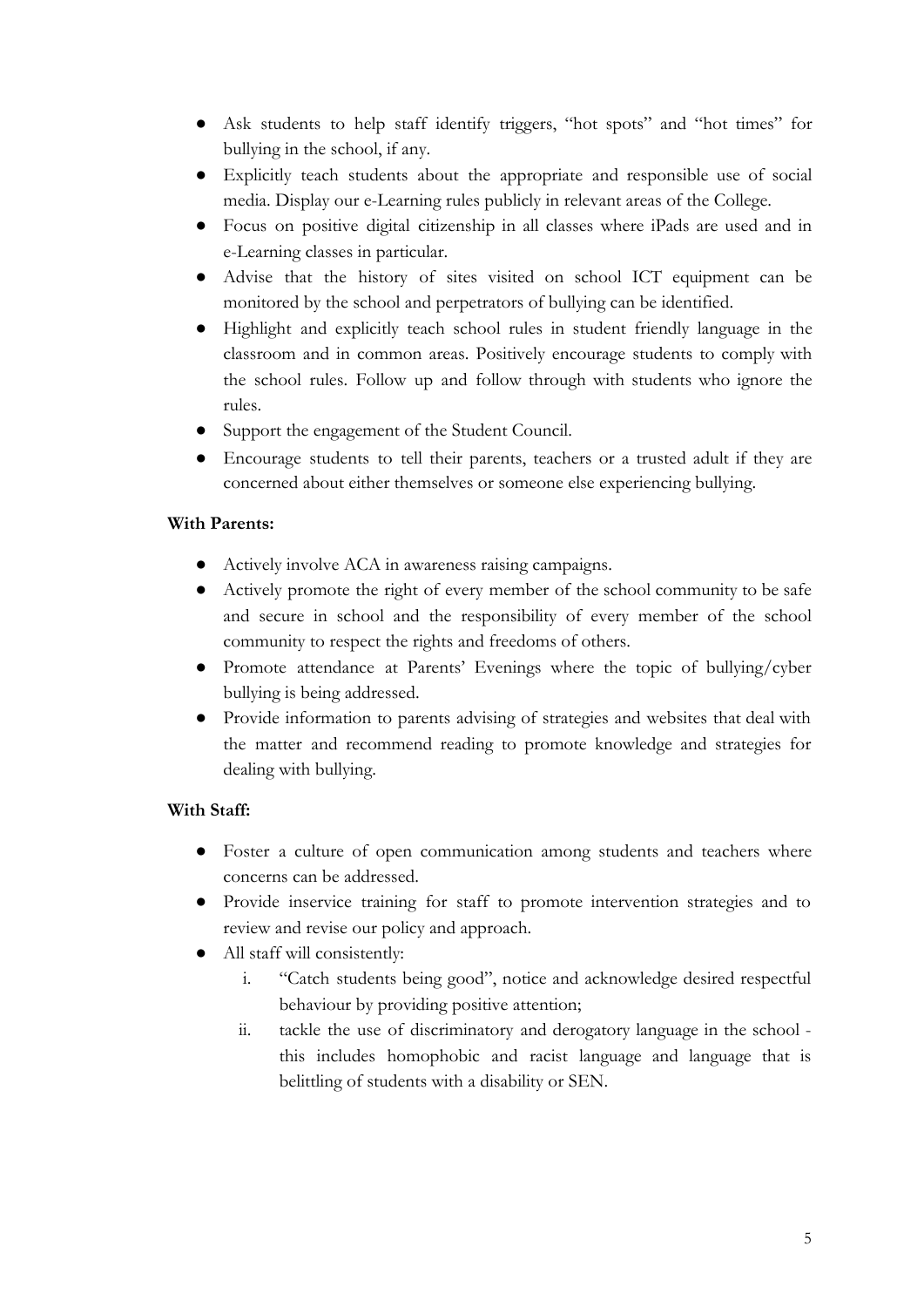- Ask students to help staff identify triggers, "hot spots" and "hot times" for bullying in the school, if any.
- Explicitly teach students about the appropriate and responsible use of social media. Display our e-Learning rules publicly in relevant areas of the College.
- Focus on positive digital citizenship in all classes where iPads are used and in e-Learning classes in particular.
- Advise that the history of sites visited on school ICT equipment can be monitored by the school and perpetrators of bullying can be identified.
- Highlight and explicitly teach school rules in student friendly language in the classroom and in common areas. Positively encourage students to comply with the school rules. Follow up and follow through with students who ignore the rules.
- Support the engagement of the Student Council.
- Encourage students to tell their parents, teachers or a trusted adult if they are concerned about either themselves or someone else experiencing bullying.

## **With Parents:**

- Actively involve ACA in awareness raising campaigns.
- Actively promote the right of every member of the school community to be safe and secure in school and the responsibility of every member of the school community to respect the rights and freedoms of others.
- Promote attendance at Parents' Evenings where the topic of bullying/cyber bullying is being addressed.
- Provide information to parents advising of strategies and websites that deal with the matter and recommend reading to promote knowledge and strategies for dealing with bullying.

## **With Staff:**

- Foster a culture of open communication among students and teachers where concerns can be addressed.
- Provide inservice training for staff to promote intervention strategies and to review and revise our policy and approach.
- All staff will consistently:
	- i. "Catch students being good", notice and acknowledge desired respectful behaviour by providing positive attention;
	- ii. tackle the use of discriminatory and derogatory language in the school this includes homophobic and racist language and language that is belittling of students with a disability or SEN.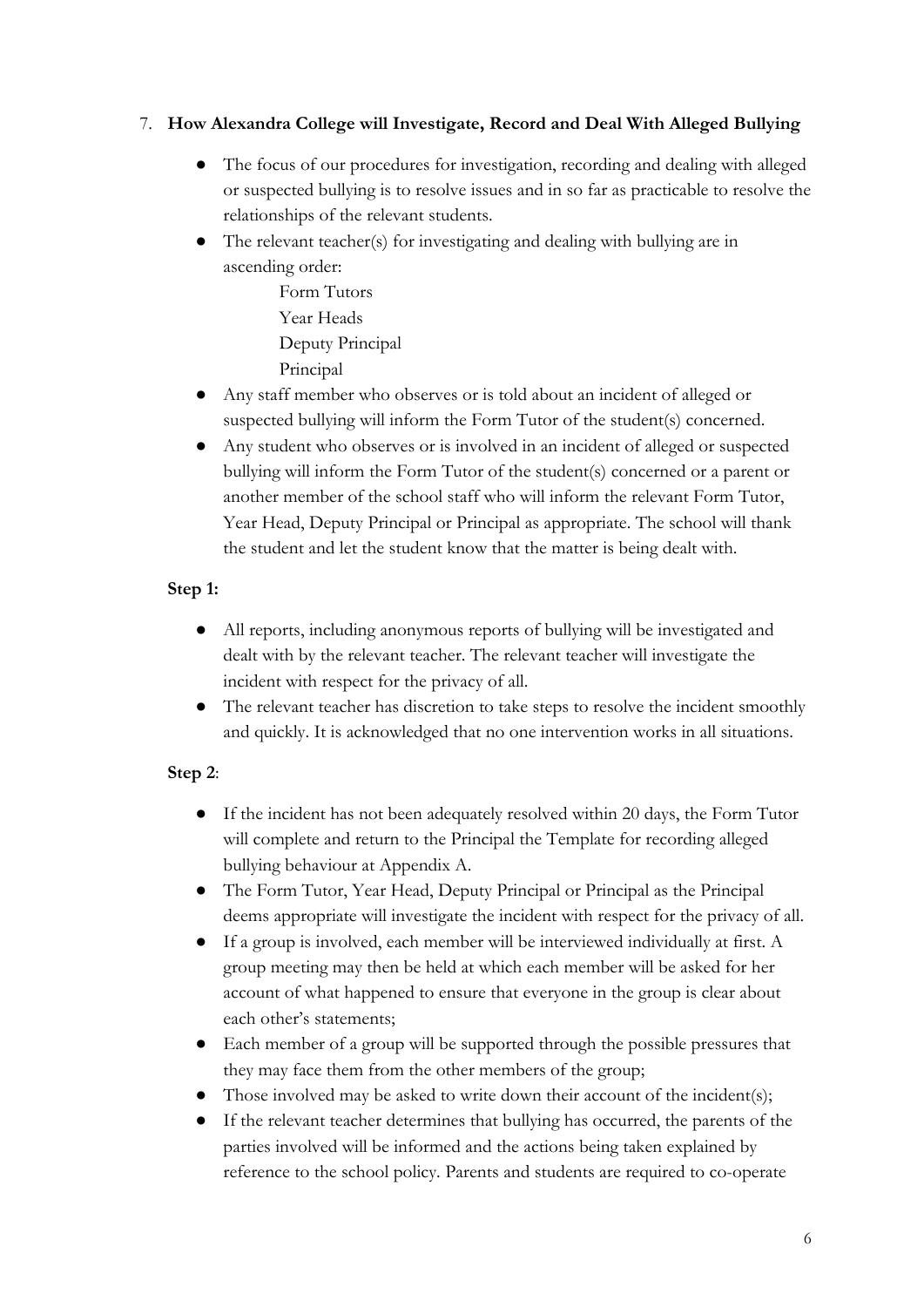## 7. **How Alexandra College will Investigate, Record and Deal With Alleged Bullying**

- The focus of our procedures for investigation, recording and dealing with alleged or suspected bullying is to resolve issues and in so far as practicable to resolve the relationships of the relevant students.
- The relevant teacher(s) for investigating and dealing with bullying are in ascending order:
	- Form Tutors Year Heads Deputy Principal Principal
- Any staff member who observes or is told about an incident of alleged or suspected bullying will inform the Form Tutor of the student(s) concerned.
- Any student who observes or is involved in an incident of alleged or suspected bullying will inform the Form Tutor of the student(s) concerned or a parent or another member of the school staff who will inform the relevant Form Tutor, Year Head, Deputy Principal or Principal as appropriate. The school will thank the student and let the student know that the matter is being dealt with.

## **Step 1:**

- All reports, including anonymous reports of bullying will be investigated and dealt with by the relevant teacher. The relevant teacher will investigate the incident with respect for the privacy of all.
- The relevant teacher has discretion to take steps to resolve the incident smoothly and quickly. It is acknowledged that no one intervention works in all situations.

## **Step 2**:

- If the incident has not been adequately resolved within 20 days, the Form Tutor will complete and return to the Principal the Template for recording alleged bullying behaviour at Appendix A.
- The Form Tutor, Year Head, Deputy Principal or Principal as the Principal deems appropriate will investigate the incident with respect for the privacy of all.
- If a group is involved, each member will be interviewed individually at first. A group meeting may then be held at which each member will be asked for her account of what happened to ensure that everyone in the group is clear about each other's statements;
- Each member of a group will be supported through the possible pressures that they may face them from the other members of the group;
- Those involved may be asked to write down their account of the incident(s);
- If the relevant teacher determines that bullying has occurred, the parents of the parties involved will be informed and the actions being taken explained by reference to the school policy. Parents and students are required to co-operate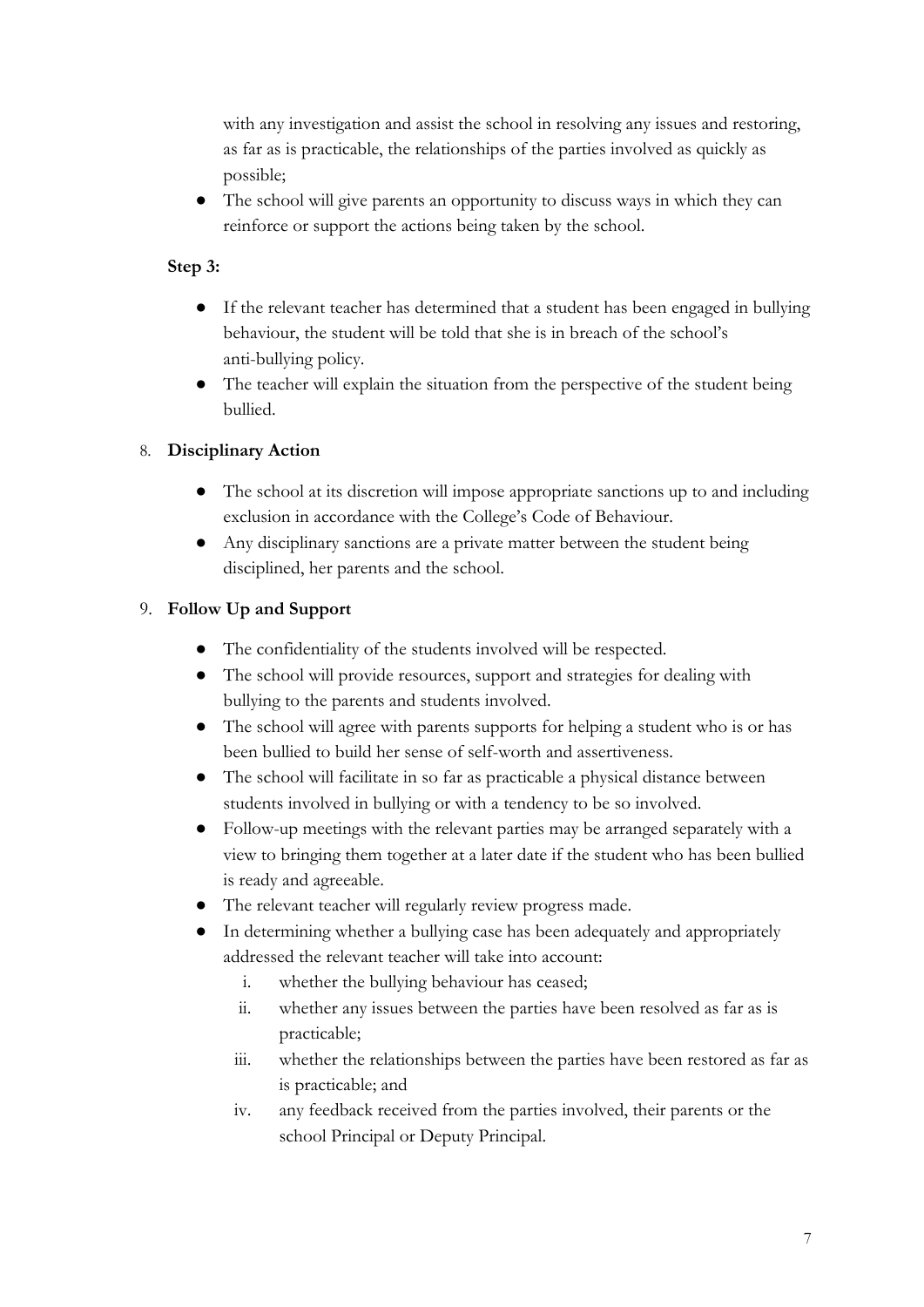with any investigation and assist the school in resolving any issues and restoring, as far as is practicable, the relationships of the parties involved as quickly as possible;

● The school will give parents an opportunity to discuss ways in which they can reinforce or support the actions being taken by the school.

## **Step 3:**

- If the relevant teacher has determined that a student has been engaged in bullying behaviour, the student will be told that she is in breach of the school's anti-bullying policy.
- The teacher will explain the situation from the perspective of the student being bullied.

## 8. **Disciplinary Action**

- The school at its discretion will impose appropriate sanctions up to and including exclusion in accordance with the College's Code of Behaviour.
- Any disciplinary sanctions are a private matter between the student being disciplined, her parents and the school.

## 9. **Follow Up and Support**

- The confidentiality of the students involved will be respected.
- The school will provide resources, support and strategies for dealing with bullying to the parents and students involved.
- The school will agree with parents supports for helping a student who is or has been bullied to build her sense of self-worth and assertiveness.
- The school will facilitate in so far as practicable a physical distance between students involved in bullying or with a tendency to be so involved.
- Follow-up meetings with the relevant parties may be arranged separately with a view to bringing them together at a later date if the student who has been bullied is ready and agreeable.
- The relevant teacher will regularly review progress made.
- In determining whether a bullying case has been adequately and appropriately addressed the relevant teacher will take into account:
	- i. whether the bullying behaviour has ceased;
	- ii. whether any issues between the parties have been resolved as far as is practicable;
	- iii. whether the relationships between the parties have been restored as far as is practicable; and
	- iv. any feedback received from the parties involved, their parents or the school Principal or Deputy Principal.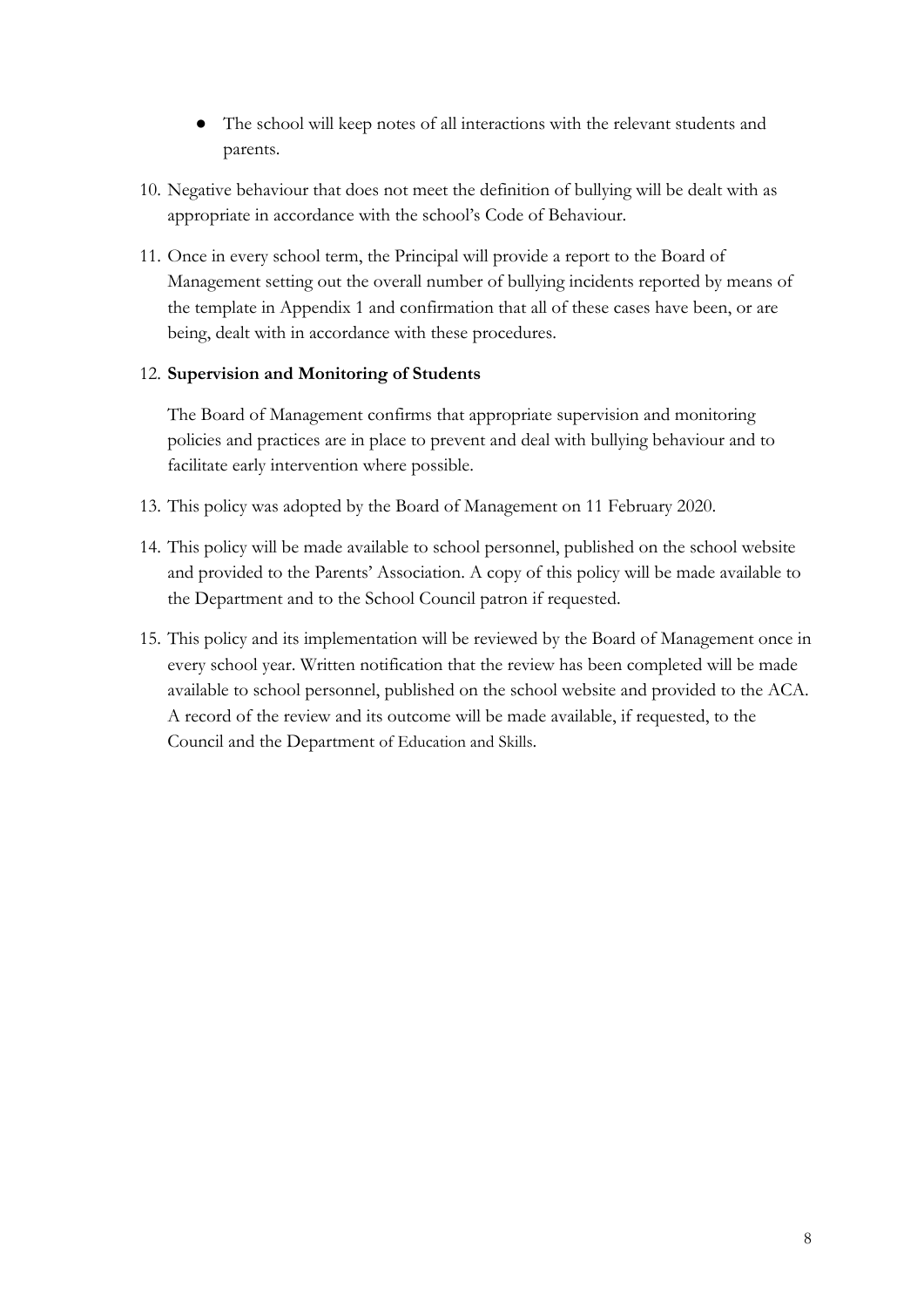- The school will keep notes of all interactions with the relevant students and parents.
- 10. Negative behaviour that does not meet the definition of bullying will be dealt with as appropriate in accordance with the school's Code of Behaviour.
- 11. Once in every school term, the Principal will provide a report to the Board of Management setting out the overall number of bullying incidents reported by means of the template in Appendix 1 and confirmation that all of these cases have been, or are being, dealt with in accordance with these procedures.

#### 12. **Supervision and Monitoring of Students**

The Board of Management confirms that appropriate supervision and monitoring policies and practices are in place to prevent and deal with bullying behaviour and to facilitate early intervention where possible.

- 13. This policy was adopted by the Board of Management on 11 February 2020.
- 14. This policy will be made available to school personnel, published on the school website and provided to the Parents' Association. A copy of this policy will be made available to the Department and to the School Council patron if requested.
- 15. This policy and its implementation will be reviewed by the Board of Management once in every school year. Written notification that the review has been completed will be made available to school personnel, published on the school website and provided to the ACA. A record of the review and its outcome will be made available, if requested, to the Council and the Department of Education and Skills.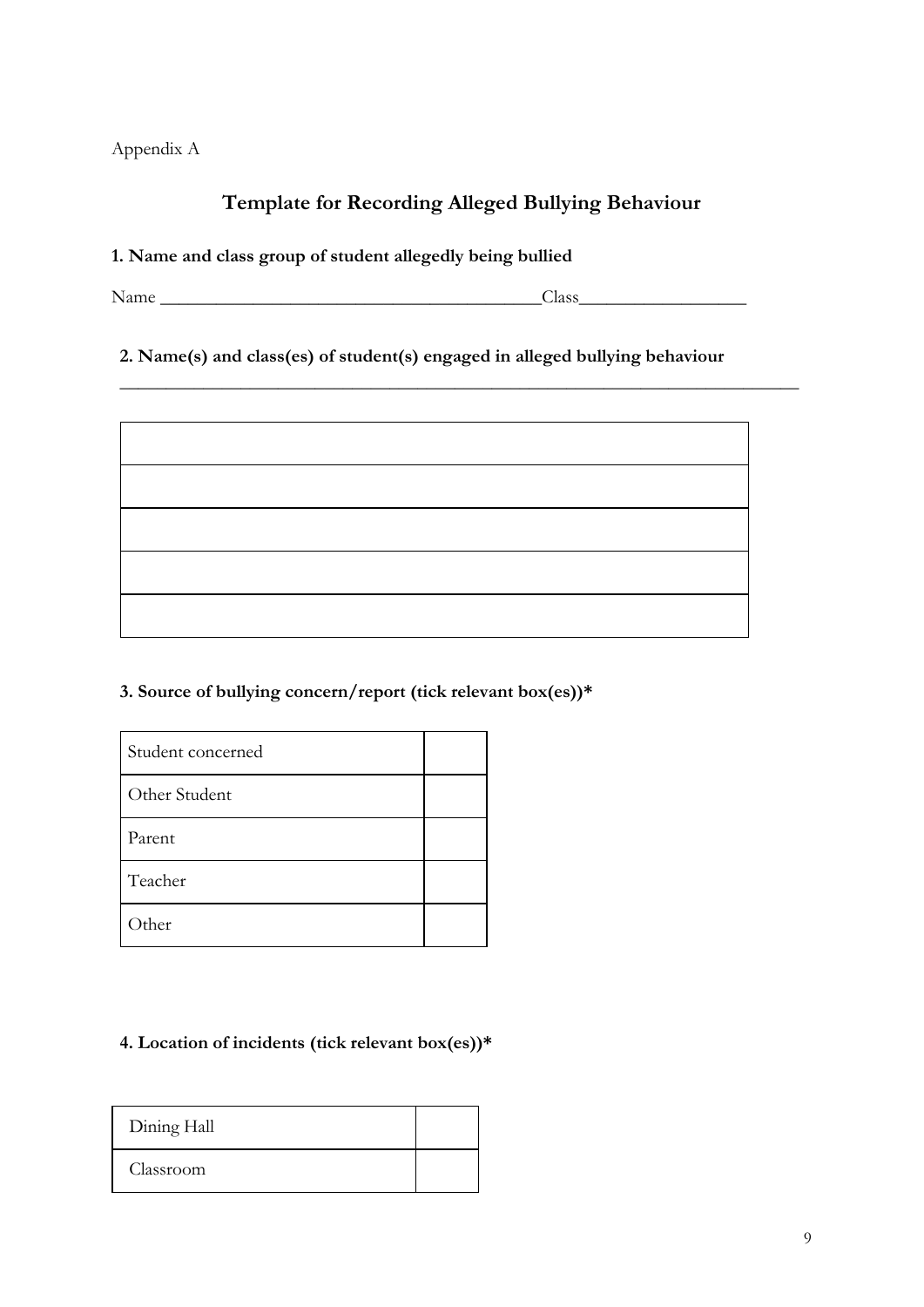Appendix A

## **Template for Recording Alleged Bullying Behaviour**

 $\overline{\phantom{a}}$  , and the contract of the contract of the contract of the contract of the contract of the contract of the contract of the contract of the contract of the contract of the contract of the contract of the contrac

#### **1. Name and class group of student allegedly being bullied**

Name \_\_\_\_\_\_\_\_\_\_\_\_\_\_\_\_\_\_\_\_\_\_\_\_\_\_\_\_\_\_\_\_\_\_\_\_\_\_\_\_\_Class\_\_\_\_\_\_\_\_\_\_\_\_\_\_\_\_\_\_

**2. Name(s) and class(es) of student(s) engaged in alleged bullying behaviour**



**3. Source of bullying concern/report (tick relevant box(es))\***

| Student concerned |  |
|-------------------|--|
| Other Student     |  |
| Parent            |  |
| Teacher           |  |
| )ther             |  |

## **4. Location of incidents (tick relevant box(es))\***

| Dining Hall |  |
|-------------|--|
| Classroom   |  |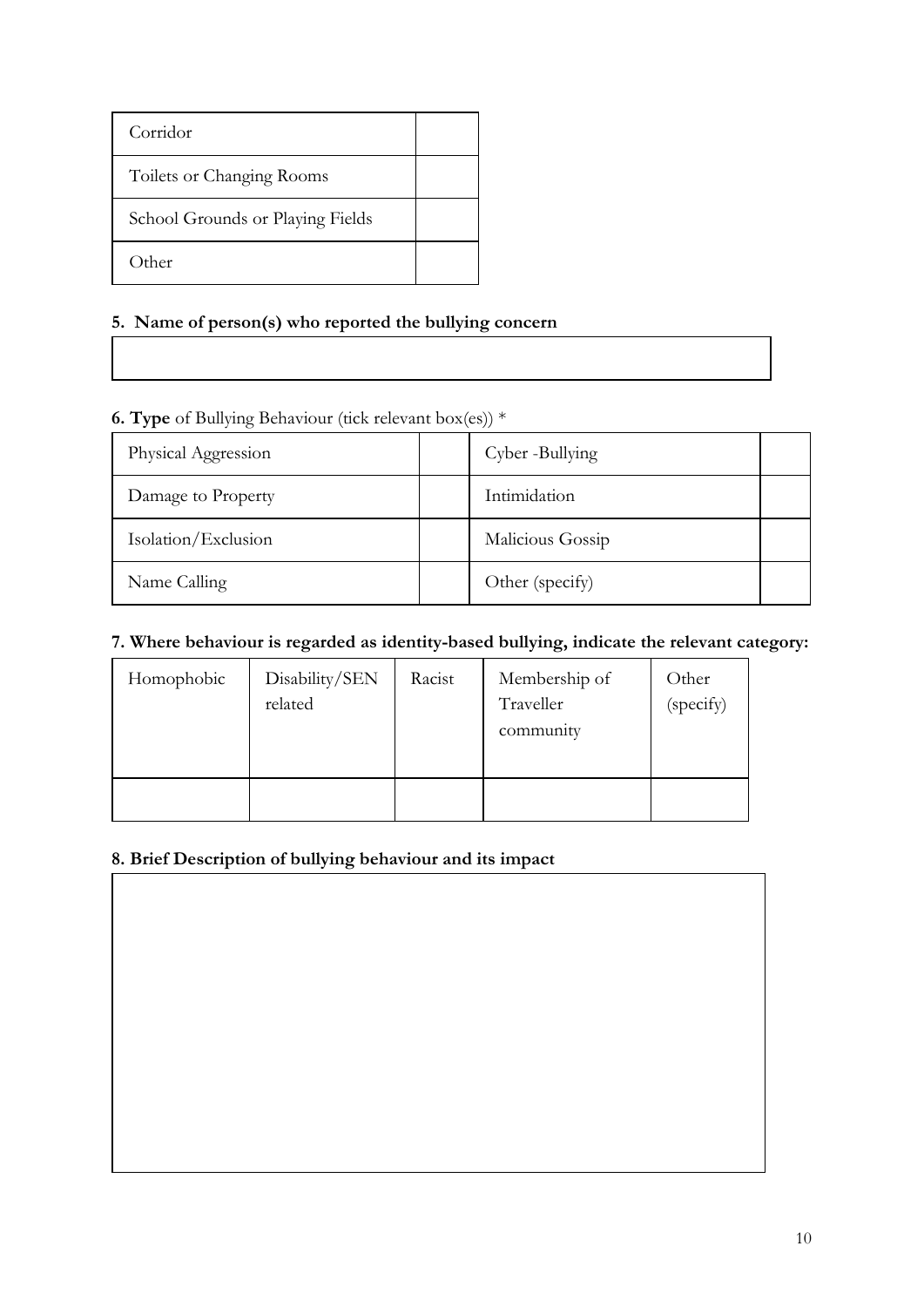| Corridor                         |  |
|----------------------------------|--|
| Toilets or Changing Rooms        |  |
| School Grounds or Playing Fields |  |
| Other                            |  |

## **5. Name of person(s) who reported the bullying concern**

## **6. Type** of Bullying Behaviour (tick relevant box(es)) \*

| Physical Aggression | Cyber -Bullying  |  |
|---------------------|------------------|--|
| Damage to Property  | Intimidation     |  |
| Isolation/Exclusion | Malicious Gossip |  |
| Name Calling        | Other (specify)  |  |

## **7. Where behaviour is regarded as identity-based bullying, indicate the relevant category:**

| Homophobic | Disability/SEN<br>related | Racist | Membership of<br>Traveller<br>community | Other<br>(specify) |
|------------|---------------------------|--------|-----------------------------------------|--------------------|
|            |                           |        |                                         |                    |

## **8. Brief Description of bullying behaviour and its impact**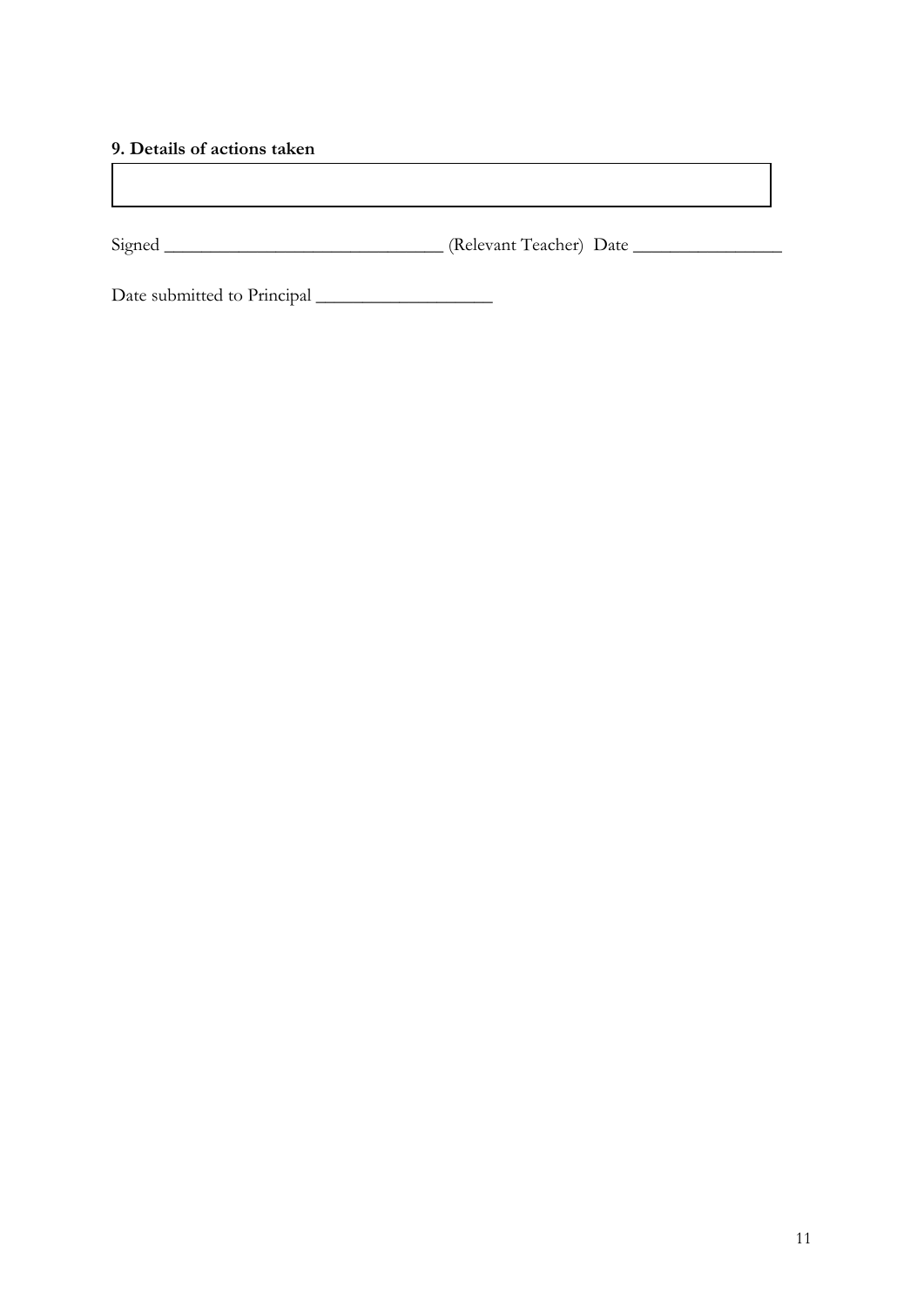#### **9. Details of actions taken**

| Signed | (Relevant Teacher) Date |
|--------|-------------------------|

Date submitted to Principal \_\_\_\_\_\_\_\_\_\_\_\_\_\_\_\_\_\_\_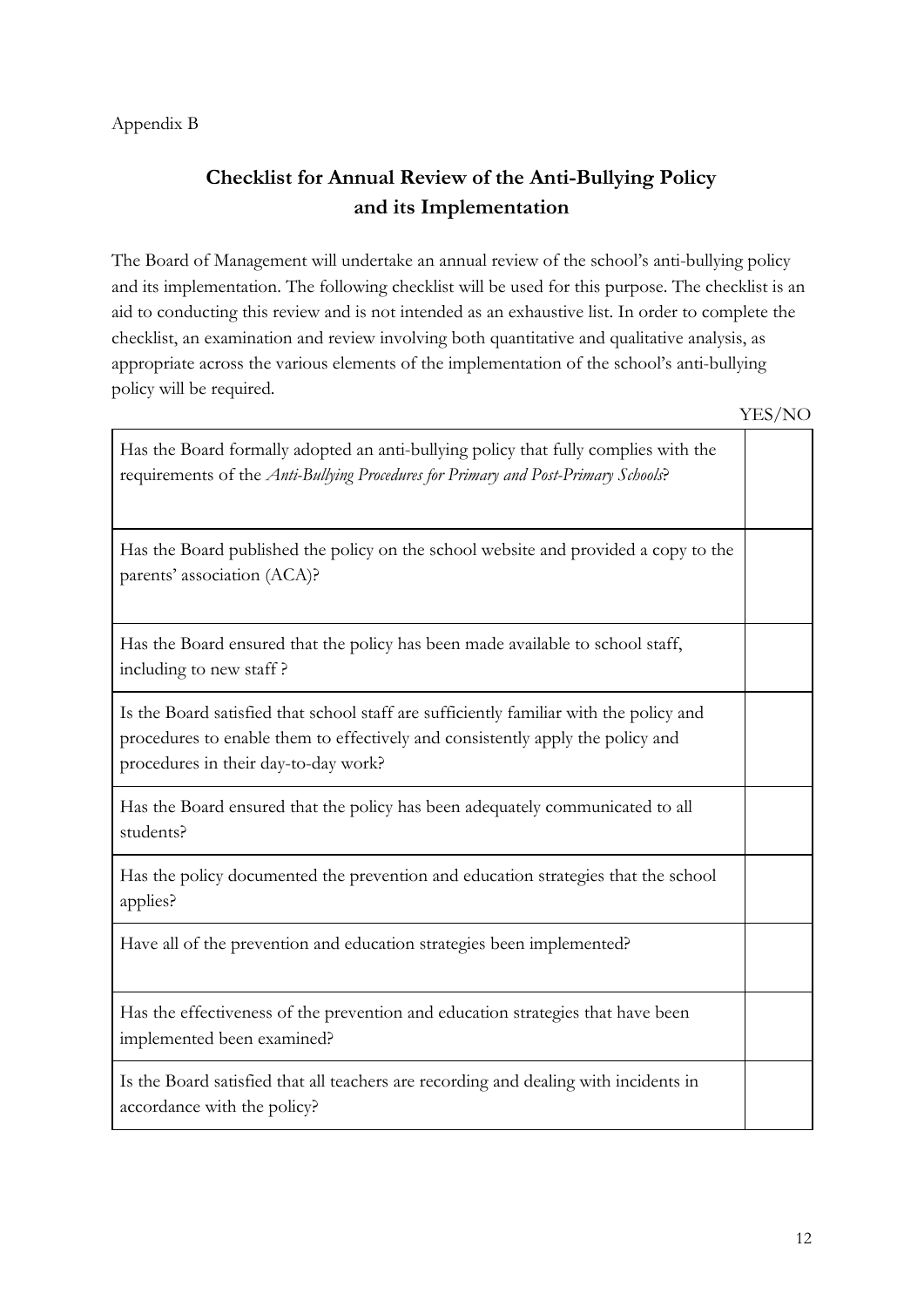#### Appendix B

# **Checklist for Annual Review of the Anti-Bullying Policy and its Implementation**

The Board of Management will undertake an annual review of the school's anti-bullying policy and its implementation. The following checklist will be used for this purpose. The checklist is an aid to conducting this review and is not intended as an exhaustive list. In order to complete the checklist, an examination and review involving both quantitative and qualitative analysis, as appropriate across the various elements of the implementation of the school's anti-bullying policy will be required.

| Has the Board formally adopted an anti-bullying policy that fully complies with the<br>requirements of the Anti-Bullying Procedures for Primary and Post-Primary Schools?                                        |  |
|------------------------------------------------------------------------------------------------------------------------------------------------------------------------------------------------------------------|--|
| Has the Board published the policy on the school website and provided a copy to the<br>parents' association (ACA)?                                                                                               |  |
| Has the Board ensured that the policy has been made available to school staff,<br>including to new staff?                                                                                                        |  |
| Is the Board satisfied that school staff are sufficiently familiar with the policy and<br>procedures to enable them to effectively and consistently apply the policy and<br>procedures in their day-to-day work? |  |
| Has the Board ensured that the policy has been adequately communicated to all<br>students?                                                                                                                       |  |
| Has the policy documented the prevention and education strategies that the school<br>applies?                                                                                                                    |  |
| Have all of the prevention and education strategies been implemented?                                                                                                                                            |  |
| Has the effectiveness of the prevention and education strategies that have been<br>implemented been examined?                                                                                                    |  |
| Is the Board satisfied that all teachers are recording and dealing with incidents in<br>accordance with the policy?                                                                                              |  |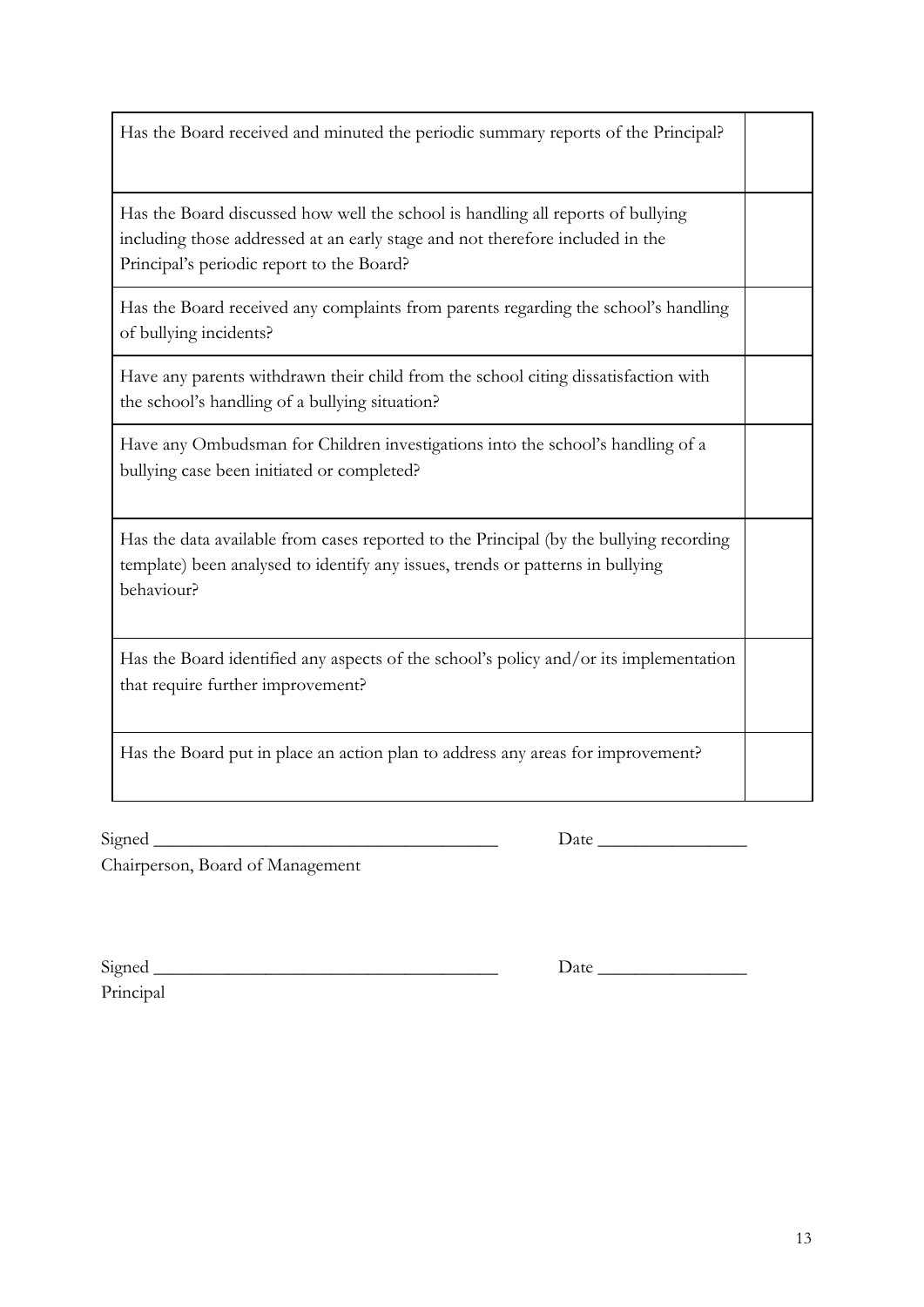| Has the data available from cases reported to the Principal (by the bullying recording<br>template) been analysed to identify any issues, trends or patterns in bullying<br>behaviour? |  |
|----------------------------------------------------------------------------------------------------------------------------------------------------------------------------------------|--|
| Has the Board identified any aspects of the school's policy and/or its implementation<br>that require further improvement?                                                             |  |
| Has the Board put in place an action plan to address any areas for improvement?                                                                                                        |  |
| <u> 1989 - Johann Barn, mars ar breithinn ar chwaraeth a bhaile ann an t-an an t-an ann an t-an ann an t-an an a</u><br>Signed_<br>Chairperson, Board of Management                    |  |
| Principal                                                                                                                                                                              |  |

Has the data available from cases

bullying case been initiated or completed?

Has the Board received and minuted the periodic summary reports of the Principal?

Has the Board discussed how well the school is handling all reports of bullying including those addressed at an early stage and not therefore included in the Principal's periodic report to the Board?

Has the Board received any complaints from parents regarding the school's handling of bullying incidents?

Have any parents withdrawn their child from the school citing dissatisfaction with the school's handling of a bullying situation?

Have any Ombudsman for Children investigations into the school's handling of a